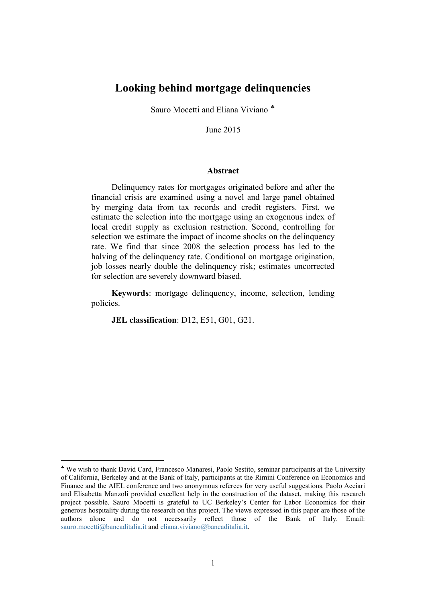## **Looking behind mortgage delinquencies**

Sauro Mocetti and Eliana Viviano <sup>\*</sup>

June 2015

#### **Abstract**

Delinquency rates for mortgages originated before and after the financial crisis are examined using a novel and large panel obtained by merging data from tax records and credit registers. First, we estimate the selection into the mortgage using an exogenous index of local credit supply as exclusion restriction. Second, controlling for selection we estimate the impact of income shocks on the delinquency rate. We find that since 2008 the selection process has led to the halving of the delinquency rate. Conditional on mortgage origination, job losses nearly double the delinquency risk; estimates uncorrected for selection are severely downward biased.

**Keywords**: mortgage delinquency, income, selection, lending policies.

**JEL classification**: D12, E51, G01, G21.

**.** 

<span id="page-0-0"></span><sup>♣</sup> We wish to thank David Card, Francesco Manaresi, Paolo Sestito, seminar participants at the University of California, Berkeley and at the Bank of Italy, participants at the Rimini Conference on Economics and Finance and the AIEL conference and two anonymous referees for very useful suggestions. Paolo Acciari and Elisabetta Manzoli provided excellent help in the construction of the dataset, making this research project possible. Sauro Mocetti is grateful to UC Berkeley's Center for Labor Economics for their generous hospitality during the research on this project. The views expressed in this paper are those of the authors alone and do not necessarily reflect those of the Bank of Italy. Email: [sauro.mocetti@bancaditalia.it](mailto:sauro.mocetti@bancaditalia.it) and [eliana.viviano@bancaditalia.it.](mailto:eliana.viviano@bancaditalia.it)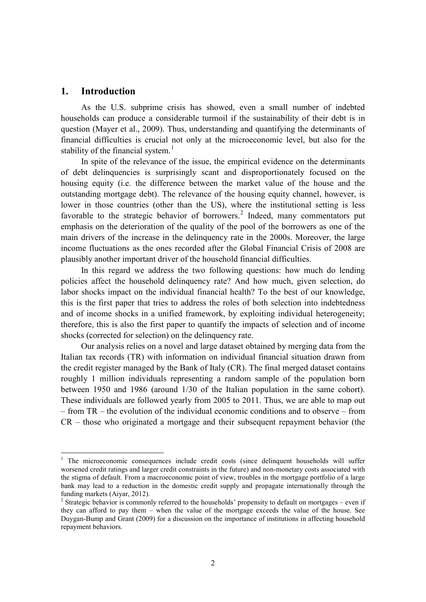## **1. Introduction**

**.** 

As the U.S. subprime crisis has showed, even a small number of indebted households can produce a considerable turmoil if the sustainability of their debt is in question (Mayer et al., 2009). Thus, understanding and quantifying the determinants of financial difficulties is crucial not only at the microeconomic level, but also for the stability of the financial system.<sup>[1](#page-1-0)</sup>

In spite of the relevance of the issue, the empirical evidence on the determinants of debt delinquencies is surprisingly scant and disproportionately focused on the housing equity (i.e. the difference between the market value of the house and the outstanding mortgage debt). The relevance of the housing equity channel, however, is lower in those countries (other than the US), where the institutional setting is less favorable to the strategic behavior of borrowers.<sup>[2](#page-1-1)</sup> Indeed, many commentators put emphasis on the deterioration of the quality of the pool of the borrowers as one of the main drivers of the increase in the delinquency rate in the 2000s. Moreover, the large income fluctuations as the ones recorded after the Global Financial Crisis of 2008 are plausibly another important driver of the household financial difficulties.

In this regard we address the two following questions: how much do lending policies affect the household delinquency rate? And how much, given selection, do labor shocks impact on the individual financial health? To the best of our knowledge, this is the first paper that tries to address the roles of both selection into indebtedness and of income shocks in a unified framework, by exploiting individual heterogeneity; therefore, this is also the first paper to quantify the impacts of selection and of income shocks (corrected for selection) on the delinquency rate.

Our analysis relies on a novel and large dataset obtained by merging data from the Italian tax records (TR) with information on individual financial situation drawn from the credit register managed by the Bank of Italy (CR). The final merged dataset contains roughly 1 million individuals representing a random sample of the population born between 1950 and 1986 (around 1/30 of the Italian population in the same cohort). These individuals are followed yearly from 2005 to 2011. Thus, we are able to map out – from TR – the evolution of the individual economic conditions and to observe – from CR – those who originated a mortgage and their subsequent repayment behavior (the

<span id="page-1-0"></span><sup>&</sup>lt;sup>1</sup> The microeconomic consequences include credit costs (since delinquent households will suffer worsened credit ratings and larger credit constraints in the future) and non-monetary costs associated with the stigma of default. From a macroeconomic point of view, troubles in the mortgage portfolio of a large bank may lead to a reduction in the domestic credit supply and propagate internationally through the

<span id="page-1-1"></span>funding markets (Aiyar, 2012). <sup>2</sup> Strategic behavior is commonly referred to the households' propensity to default on mortgages – even if they can afford to pay them – when the value of the mortgage exceeds the value of the house. See Duygan-Bump and Grant (2009) for a discussion on the importance of institutions in affecting household repayment behaviors.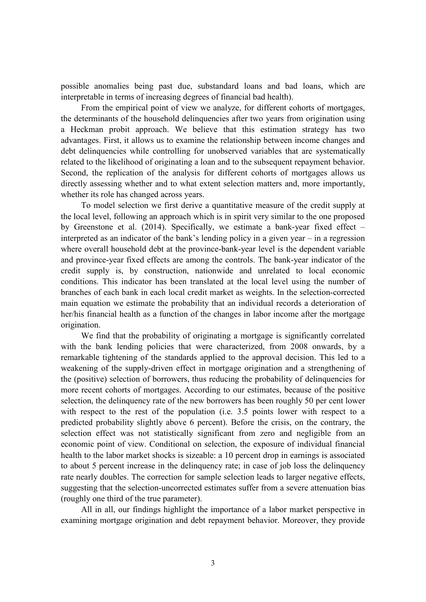possible anomalies being past due, substandard loans and bad loans, which are interpretable in terms of increasing degrees of financial bad health).

From the empirical point of view we analyze, for different cohorts of mortgages, the determinants of the household delinquencies after two years from origination using a Heckman probit approach. We believe that this estimation strategy has two advantages. First, it allows us to examine the relationship between income changes and debt delinquencies while controlling for unobserved variables that are systematically related to the likelihood of originating a loan and to the subsequent repayment behavior. Second, the replication of the analysis for different cohorts of mortgages allows us directly assessing whether and to what extent selection matters and, more importantly, whether its role has changed across years.

To model selection we first derive a quantitative measure of the credit supply at the local level, following an approach which is in spirit very similar to the one proposed by Greenstone et al. (2014). Specifically, we estimate a bank-year fixed effect – interpreted as an indicator of the bank's lending policy in a given year – in a regression where overall household debt at the province-bank-year level is the dependent variable and province-year fixed effects are among the controls. The bank-year indicator of the credit supply is, by construction, nationwide and unrelated to local economic conditions. This indicator has been translated at the local level using the number of branches of each bank in each local credit market as weights. In the selection-corrected main equation we estimate the probability that an individual records a deterioration of her/his financial health as a function of the changes in labor income after the mortgage origination.

We find that the probability of originating a mortgage is significantly correlated with the bank lending policies that were characterized, from 2008 onwards, by a remarkable tightening of the standards applied to the approval decision. This led to a weakening of the supply-driven effect in mortgage origination and a strengthening of the (positive) selection of borrowers, thus reducing the probability of delinquencies for more recent cohorts of mortgages. According to our estimates, because of the positive selection, the delinquency rate of the new borrowers has been roughly 50 per cent lower with respect to the rest of the population (i.e. 3.5 points lower with respect to a predicted probability slightly above 6 percent). Before the crisis, on the contrary, the selection effect was not statistically significant from zero and negligible from an economic point of view. Conditional on selection, the exposure of individual financial health to the labor market shocks is sizeable: a 10 percent drop in earnings is associated to about 5 percent increase in the delinquency rate; in case of job loss the delinquency rate nearly doubles. The correction for sample selection leads to larger negative effects, suggesting that the selection-uncorrected estimates suffer from a severe attenuation bias (roughly one third of the true parameter).

All in all, our findings highlight the importance of a labor market perspective in examining mortgage origination and debt repayment behavior. Moreover, they provide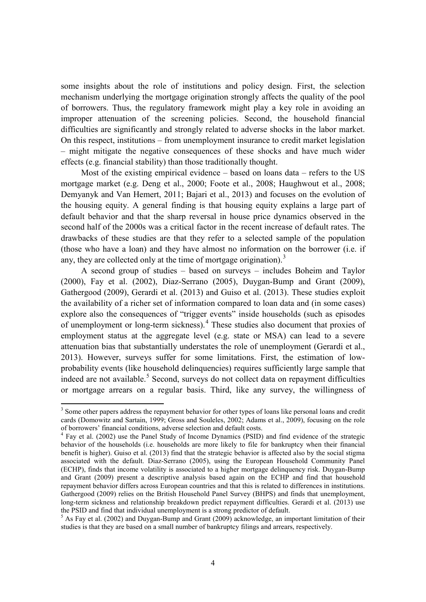some insights about the role of institutions and policy design. First, the selection mechanism underlying the mortgage origination strongly affects the quality of the pool of borrowers. Thus, the regulatory framework might play a key role in avoiding an improper attenuation of the screening policies. Second, the household financial difficulties are significantly and strongly related to adverse shocks in the labor market. On this respect, institutions – from unemployment insurance to credit market legislation – might mitigate the negative consequences of these shocks and have much wider effects (e.g. financial stability) than those traditionally thought.

Most of the existing empirical evidence – based on loans data – refers to the US mortgage market (e.g. Deng et al., 2000; Foote et al., 2008; Haughwout et al., 2008; Demyanyk and Van Hemert, 2011; Bajari et al., 2013) and focuses on the evolution of the housing equity. A general finding is that housing equity explains a large part of default behavior and that the sharp reversal in house price dynamics observed in the second half of the 2000s was a critical factor in the recent increase of default rates. The drawbacks of these studies are that they refer to a selected sample of the population (those who have a loan) and they have almost no information on the borrower (i.e. if any, they are collected only at the time of mortgage origination).<sup>[3](#page-3-0)</sup>

A second group of studies – based on surveys – includes Boheim and Taylor (2000), Fay et al. (2002), Diaz-Serrano (2005), Duygan-Bump and Grant (2009), Gathergood (2009), Gerardi et al. (2013) and Guiso et al. (2013). These studies exploit the availability of a richer set of information compared to loan data and (in some cases) explore also the consequences of "trigger events" inside households (such as episodes of unemployment or long-term sickness).<sup>[4](#page-3-1)</sup> These studies also document that proxies of employment status at the aggregate level (e.g. state or MSA) can lead to a severe attenuation bias that substantially understates the role of unemployment (Gerardi et al., 2013). However, surveys suffer for some limitations. First, the estimation of lowprobability events (like household delinquencies) requires sufficiently large sample that indeed are not available.<sup>[5](#page-3-2)</sup> Second, surveys do not collect data on repayment difficulties or mortgage arrears on a regular basis. Third, like any survey, the willingness of

**.** 

<span id="page-3-0"></span><sup>&</sup>lt;sup>3</sup> Some other papers address the repayment behavior for other types of loans like personal loans and credit cards (Domowitz and Sartain, 1999; Gross and Souleles, 2002; Adams et al., 2009), focusing on the role of borrowers' financial conditions, adverse selection and default costs.

<span id="page-3-1"></span><sup>&</sup>lt;sup>4</sup> Fay et al. (2002) use the Panel Study of Income Dynamics (PSID) and find evidence of the strategic behavior of the households (i.e. households are more likely to file for bankruptcy when their financial benefit is higher). Guiso et al. (2013) find that the strategic behavior is affected also by the social stigma associated with the default. Diaz-Serrano (2005), using the European Household Community Panel (ECHP), finds that income volatility is associated to a higher mortgage delinquency risk. Duygan-Bump and Grant (2009) present a descriptive analysis based again on the ECHP and find that household repayment behavior differs across European countries and that this is related to differences in institutions. Gathergood (2009) relies on the British Household Panel Survey (BHPS) and finds that unemployment, long-term sickness and relationship breakdown predict repayment difficulties. Gerardi et al. (2013) use the PSID and find that individual unemployment is a strong predictor of default.

<span id="page-3-2"></span><sup>&</sup>lt;sup>5</sup> As Fay et al. (2002) and Duygan-Bump and Grant (2009) acknowledge, an important limitation of their studies is that they are based on a small number of bankruptcy filings and arrears, respectively.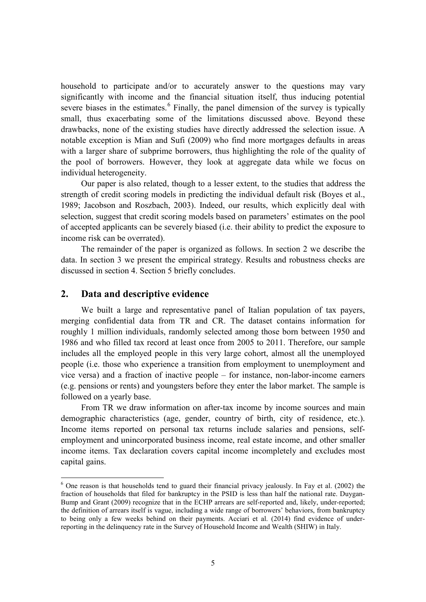household to participate and/or to accurately answer to the questions may vary significantly with income and the financial situation itself, thus inducing potential severe biases in the estimates.<sup>[6](#page-4-0)</sup> Finally, the panel dimension of the survey is typically small, thus exacerbating some of the limitations discussed above. Beyond these drawbacks, none of the existing studies have directly addressed the selection issue. A notable exception is Mian and Sufi (2009) who find more mortgages defaults in areas with a larger share of subprime borrowers, thus highlighting the role of the quality of the pool of borrowers. However, they look at aggregate data while we focus on individual heterogeneity.

Our paper is also related, though to a lesser extent, to the studies that address the strength of credit scoring models in predicting the individual default risk (Boyes et al., 1989; Jacobson and Roszbach, 2003). Indeed, our results, which explicitly deal with selection, suggest that credit scoring models based on parameters' estimates on the pool of accepted applicants can be severely biased (i.e. their ability to predict the exposure to income risk can be overrated).

The remainder of the paper is organized as follows. In section 2 we describe the data. In section 3 we present the empirical strategy. Results and robustness checks are discussed in section 4. Section 5 briefly concludes.

## **2. Data and descriptive evidence**

1

We built a large and representative panel of Italian population of tax payers, merging confidential data from TR and CR. The dataset contains information for roughly 1 million individuals, randomly selected among those born between 1950 and 1986 and who filled tax record at least once from 2005 to 2011. Therefore, our sample includes all the employed people in this very large cohort, almost all the unemployed people (i.e. those who experience a transition from employment to unemployment and vice versa) and a fraction of inactive people – for instance, non-labor-income earners (e.g. pensions or rents) and youngsters before they enter the labor market. The sample is followed on a yearly base.

From TR we draw information on after-tax income by income sources and main demographic characteristics (age, gender, country of birth, city of residence, etc.). Income items reported on personal tax returns include salaries and pensions, selfemployment and unincorporated business income, real estate income, and other smaller income items. Tax declaration covers capital income incompletely and excludes most capital gains.

<span id="page-4-0"></span> $6$  One reason is that households tend to guard their financial privacy jealously. In Fay et al. (2002) the fraction of households that filed for bankruptcy in the PSID is less than half the national rate. Duygan-Bump and Grant (2009) recognize that in the ECHP arrears are self-reported and, likely, under-reported; the definition of arrears itself is vague, including a wide range of borrowers' behaviors, from bankruptcy to being only a few weeks behind on their payments. Acciari et al. (2014) find evidence of underreporting in the delinquency rate in the Survey of Household Income and Wealth (SHIW) in Italy.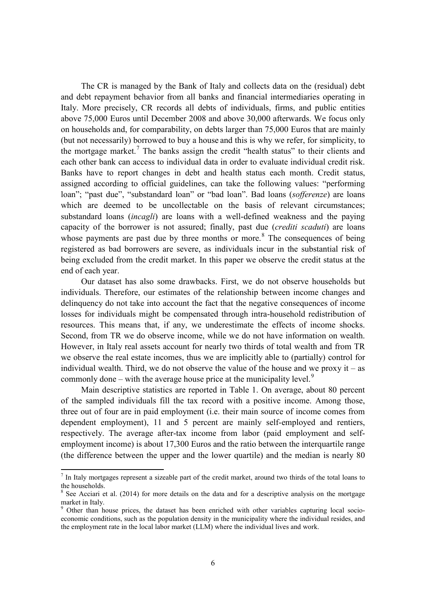The CR is managed by the Bank of Italy and collects data on the (residual) debt and debt repayment behavior from all banks and financial intermediaries operating in Italy. More precisely, CR records all debts of individuals, firms, and public entities above 75,000 Euros until December 2008 and above 30,000 afterwards. We focus only on households and, for comparability, on debts larger than 75,000 Euros that are mainly (but not necessarily) borrowed to buy a house and this is why we refer, for simplicity, to the mortgage market.<sup>[7](#page-5-0)</sup> The banks assign the credit "health status" to their clients and each other bank can access to individual data in order to evaluate individual credit risk. Banks have to report changes in debt and health status each month. Credit status, assigned according to official guidelines, can take the following values: "performing loan"; "past due", "substandard loan" or "bad loan". Bad loans (*sofferenze*) are loans which are deemed to be uncollectable on the basis of relevant circumstances; substandard loans (*incagli*) are loans with a well-defined weakness and the paying capacity of the borrower is not assured; finally, past due (*crediti scaduti*) are loans whose payments are past due by three months or more.<sup>[8](#page-5-1)</sup> The consequences of being registered as bad borrowers are severe, as individuals incur in the substantial risk of being excluded from the credit market. In this paper we observe the credit status at the end of each year.

Our dataset has also some drawbacks. First, we do not observe households but individuals. Therefore, our estimates of the relationship between income changes and delinquency do not take into account the fact that the negative consequences of income losses for individuals might be compensated through intra-household redistribution of resources. This means that, if any, we underestimate the effects of income shocks. Second, from TR we do observe income, while we do not have information on wealth. However, in Italy real assets account for nearly two thirds of total wealth and from TR we observe the real estate incomes, thus we are implicitly able to (partially) control for individual wealth. Third, we do not observe the value of the house and we proxy it – as commonly done – with the average house price at the municipality level.<sup>[9](#page-5-2)</sup>

Main descriptive statistics are reported in Table 1. On average, about 80 percent of the sampled individuals fill the tax record with a positive income. Among those, three out of four are in paid employment (i.e. their main source of income comes from dependent employment), 11 and 5 percent are mainly self-employed and rentiers, respectively. The average after-tax income from labor (paid employment and selfemployment income) is about 17,300 Euros and the ratio between the interquartile range (the difference between the upper and the lower quartile) and the median is nearly 80

 $\overline{a}$ 

<span id="page-5-0"></span> $<sup>7</sup>$  In Italy mortgages represent a sizeable part of the credit market, around two thirds of the total loans to</sup> the households.

<span id="page-5-1"></span> $8$  See Acciari et al. (2014) for more details on the data and for a descriptive analysis on the mortgage market in Italy.<br><sup>9</sup> Other than house prices, the dataset has been enriched with other variables capturing local socio-

<span id="page-5-2"></span>economic conditions, such as the population density in the municipality where the individual resides, and the employment rate in the local labor market (LLM) where the individual lives and work.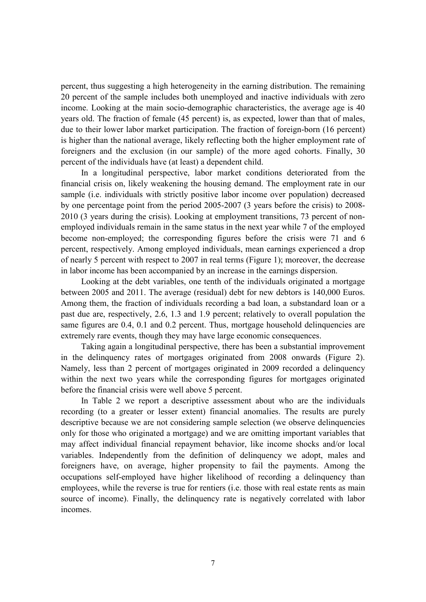percent, thus suggesting a high heterogeneity in the earning distribution. The remaining 20 percent of the sample includes both unemployed and inactive individuals with zero income. Looking at the main socio-demographic characteristics, the average age is 40 years old. The fraction of female (45 percent) is, as expected, lower than that of males, due to their lower labor market participation. The fraction of foreign-born (16 percent) is higher than the national average, likely reflecting both the higher employment rate of foreigners and the exclusion (in our sample) of the more aged cohorts. Finally, 30 percent of the individuals have (at least) a dependent child.

In a longitudinal perspective, labor market conditions deteriorated from the financial crisis on, likely weakening the housing demand. The employment rate in our sample (i.e. individuals with strictly positive labor income over population) decreased by one percentage point from the period 2005-2007 (3 years before the crisis) to 2008- 2010 (3 years during the crisis). Looking at employment transitions, 73 percent of nonemployed individuals remain in the same status in the next year while 7 of the employed become non-employed; the corresponding figures before the crisis were 71 and 6 percent, respectively. Among employed individuals, mean earnings experienced a drop of nearly 5 percent with respect to 2007 in real terms (Figure 1); moreover, the decrease in labor income has been accompanied by an increase in the earnings dispersion.

Looking at the debt variables, one tenth of the individuals originated a mortgage between 2005 and 2011. The average (residual) debt for new debtors is 140,000 Euros. Among them, the fraction of individuals recording a bad loan, a substandard loan or a past due are, respectively, 2.6, 1.3 and 1.9 percent; relatively to overall population the same figures are 0.4, 0.1 and 0.2 percent. Thus, mortgage household delinquencies are extremely rare events, though they may have large economic consequences.

Taking again a longitudinal perspective, there has been a substantial improvement in the delinquency rates of mortgages originated from 2008 onwards (Figure 2). Namely, less than 2 percent of mortgages originated in 2009 recorded a delinquency within the next two years while the corresponding figures for mortgages originated before the financial crisis were well above 5 percent.

In Table 2 we report a descriptive assessment about who are the individuals recording (to a greater or lesser extent) financial anomalies. The results are purely descriptive because we are not considering sample selection (we observe delinquencies only for those who originated a mortgage) and we are omitting important variables that may affect individual financial repayment behavior, like income shocks and/or local variables. Independently from the definition of delinquency we adopt, males and foreigners have, on average, higher propensity to fail the payments. Among the occupations self-employed have higher likelihood of recording a delinquency than employees, while the reverse is true for rentiers (i.e. those with real estate rents as main source of income). Finally, the delinquency rate is negatively correlated with labor incomes.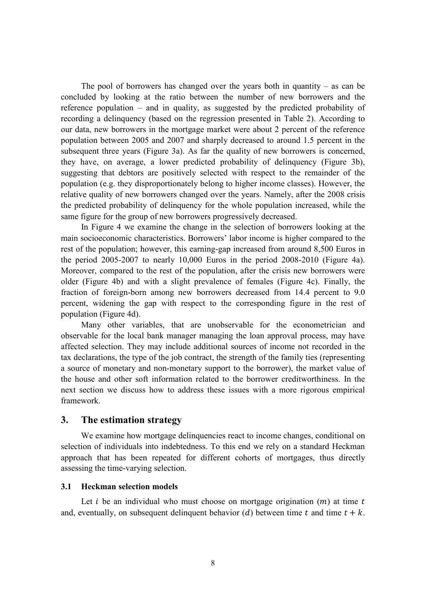The pool of borrowers has changed over the years both in quantity – as can be concluded by looking at the ratio between the number of new borrowers and the reference population – and in quality, as suggested by the predicted probability of recording a delinquency (based on the regression presented in Table 2). According to our data, new borrowers in the mortgage market were about 2 percent of the reference population between 2005 and 2007 and sharply decreased to around 1.5 percent in the subsequent three years (Figure 3a). As far the quality of new borrowers is concerned, they have, on average, a lower predicted probability of delinquency (Figure 3b), suggesting that debtors are positively selected with respect to the remainder of the population (e.g. they disproportionately belong to higher income classes). However, the relative quality of new borrowers changed over the years. Namely, after the 2008 crisis the predicted probability of delinquency for the whole population increased, while the same figure for the group of new borrowers progressively decreased.

In Figure 4 we examine the change in the selection of borrowers looking at the main socioeconomic characteristics. Borrowers' labor income is higher compared to the rest of the population; however, this earning-gap increased from around 8,500 Euros in the period 2005-2007 to nearly 10,000 Euros in the period 2008-2010 (Figure 4a). Moreover, compared to the rest of the population, after the crisis new borrowers were older (Figure 4b) and with a slight prevalence of females (Figure 4c). Finally, the fraction of foreign-born among new borrowers decreased from 14.4 percent to 9.0 percent, widening the gap with respect to the corresponding figure in the rest of population (Figure 4d).

Many other variables, that are unobservable for the econometrician and observable for the local bank manager managing the loan approval process, may have affected selection. They may include additional sources of income not recorded in the tax declarations, the type of the job contract, the strength of the family ties (representing a source of monetary and non-monetary support to the borrower), the market value of the house and other soft information related to the borrower creditworthiness. In the next section we discuss how to address these issues with a more rigorous empirical framework.

### **3. The estimation strategy**

We examine how mortgage delinquencies react to income changes, conditional on selection of individuals into indebtedness. To this end we rely on a standard Heckman approach that has been repeated for different cohorts of mortgages, thus directly assessing the time-varying selection.

#### **3.1 Heckman selection models**

Let *i* be an individual who must choose on mortgage origination  $(m)$  at time *t* and, eventually, on subsequent delinquent behavior (d) between time t and time  $t + k$ .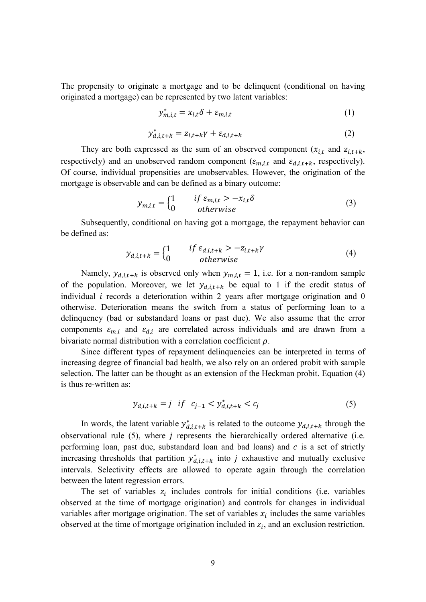The propensity to originate a mortgage and to be delinquent (conditional on having originated a mortgage) can be represented by two latent variables:

$$
y_{m,i,t}^* = x_{i,t} \delta + \varepsilon_{m,i,t} \tag{1}
$$

$$
y_{d,i,t+k}^* = z_{i,t+k}\gamma + \varepsilon_{d,i,t+k}
$$
 (2)

They are both expressed as the sum of an observed component  $(x_{i,t}$  and  $z_{i,t+k}$ , respectively) and an unobserved random component ( $\varepsilon_{m,i,t}$  and  $\varepsilon_{d,i,t+k}$ , respectively). Of course, individual propensities are unobservables. However, the origination of the mortgage is observable and can be defined as a binary outcome:

$$
y_{m,i,t} = \begin{cases} 1 & if \varepsilon_{m,i,t} > -x_{i,t}\delta \\ 0 & otherwise \end{cases}
$$
 (3)

Subsequently, conditional on having got a mortgage, the repayment behavior can be defined as:

$$
y_{d,i,t+k} = \begin{cases} 1 & if \varepsilon_{d,i,t+k} > -z_{i,t+k} \gamma \\ 0 & otherwise \end{cases}
$$
 (4)

Namely,  $y_{d,i,t+k}$  is observed only when  $y_{m,i,t} = 1$ , i.e. for a non-random sample of the population. Moreover, we let  $y_{d,i,t+k}$  be equal to 1 if the credit status of individual  $i$  records a deterioration within 2 years after mortgage origination and 0 otherwise. Deterioration means the switch from a status of performing loan to a delinquency (bad or substandard loans or past due). We also assume that the error components  $\varepsilon_{m,i}$  and  $\varepsilon_{d,i}$  are correlated across individuals and are drawn from a bivariate normal distribution with a correlation coefficient  $\rho$ .

Since different types of repayment delinquencies can be interpreted in terms of increasing degree of financial bad health, we also rely on an ordered probit with sample selection. The latter can be thought as an extension of the Heckman probit. Equation (4) is thus re-written as:

$$
y_{d,i,t+k} = j \quad \text{if} \quad c_{j-1} < y_{d,i,t+k}^* < c_j \tag{5}
$$

In words, the latent variable  $y_{d,i,t+k}^*$  is related to the outcome  $y_{d,i,t+k}$  through the observational rule  $(5)$ , where *j* represents the hierarchically ordered alternative (i.e. performing loan, past due, substandard loan and bad loans) and  $c$  is a set of strictly increasing thresholds that partition  $y_{d,i,t+k}^*$  into *j* exhaustive and mutually exclusive intervals. Selectivity effects are allowed to operate again through the correlation between the latent regression errors.

The set of variables  $z_i$  includes controls for initial conditions (i.e. variables observed at the time of mortgage origination) and controls for changes in individual variables after mortgage origination. The set of variables  $x_i$  includes the same variables observed at the time of mortgage origination included in  $z_i$ , and an exclusion restriction.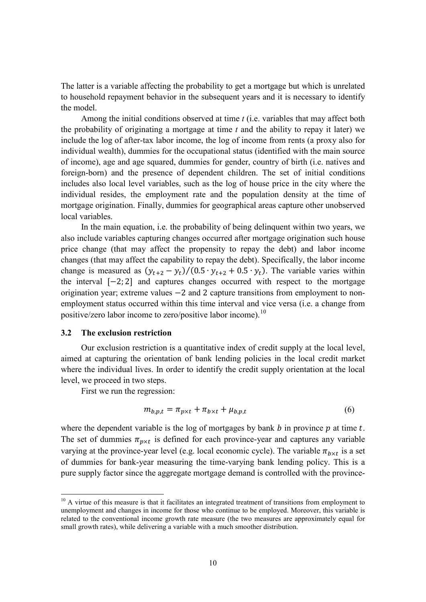The latter is a variable affecting the probability to get a mortgage but which is unrelated to household repayment behavior in the subsequent years and it is necessary to identify the model.

Among the initial conditions observed at time *t* (i.e. variables that may affect both the probability of originating a mortgage at time *t* and the ability to repay it later) we include the log of after-tax labor income, the log of income from rents (a proxy also for individual wealth), dummies for the occupational status (identified with the main source of income), age and age squared, dummies for gender, country of birth (i.e. natives and foreign-born) and the presence of dependent children. The set of initial conditions includes also local level variables, such as the log of house price in the city where the individual resides, the employment rate and the population density at the time of mortgage origination. Finally, dummies for geographical areas capture other unobserved local variables.

In the main equation, i.e. the probability of being delinquent within two years, we also include variables capturing changes occurred after mortgage origination such house price change (that may affect the propensity to repay the debt) and labor income changes (that may affect the capability to repay the debt). Specifically, the labor income change is measured as  $(y_{t+2} - y_t)/(0.5 \cdot y_{t+2} + 0.5 \cdot y_t)$ . The variable varies within the interval [−2; 2] and captures changes occurred with respect to the mortgage origination year; extreme values −2 and 2 capture transitions from employment to nonemployment status occurred within this time interval and vice versa (i.e. a change from positive/zero labor income to zero/positive labor income).<sup>[10](#page-9-0)</sup>

#### **3.2 The exclusion restriction**

Our exclusion restriction is a quantitative index of credit supply at the local level, aimed at capturing the orientation of bank lending policies in the local credit market where the individual lives. In order to identify the credit supply orientation at the local level, we proceed in two steps.

First we run the regression:

**.** 

$$
m_{b,p,t} = \pi_{p \times t} + \pi_{b \times t} + \mu_{b,p,t}
$$
\n<sup>(6)</sup>

where the dependent variable is the log of mortgages by bank  $b$  in province  $p$  at time  $t$ . The set of dummies  $\pi_{p \times t}$  is defined for each province-year and captures any variable varying at the province-year level (e.g. local economic cycle). The variable  $\pi_{b \times t}$  is a set of dummies for bank-year measuring the time-varying bank lending policy. This is a pure supply factor since the aggregate mortgage demand is controlled with the province-

<span id="page-9-0"></span> $10$  A virtue of this measure is that it facilitates an integrated treatment of transitions from employment to unemployment and changes in income for those who continue to be employed. Moreover, this variable is related to the conventional income growth rate measure (the two measures are approximately equal for small growth rates), while delivering a variable with a much smoother distribution.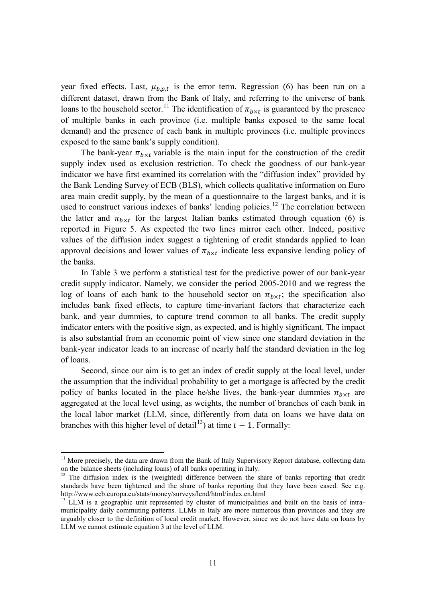year fixed effects. Last,  $\mu_{b,p,t}$  is the error term. Regression (6) has been run on a different dataset, drawn from the Bank of Italy, and referring to the universe of bank loans to the household sector.<sup>[11](#page-10-0)</sup> The identification of  $\pi_{h \times t}$  is guaranteed by the presence of multiple banks in each province (i.e. multiple banks exposed to the same local demand) and the presence of each bank in multiple provinces (i.e. multiple provinces exposed to the same bank's supply condition).

The bank-year  $\pi_{h \times t}$  variable is the main input for the construction of the credit supply index used as exclusion restriction. To check the goodness of our bank-year indicator we have first examined its correlation with the "diffusion index" provided by the Bank Lending Survey of ECB (BLS), which collects qualitative information on Euro area main credit supply, by the mean of a questionnaire to the largest banks, and it is used to construct various indexes of banks' lending policies.<sup>[12](#page-10-1)</sup> The correlation between the latter and  $\pi_{h \times t}$  for the largest Italian banks estimated through equation (6) is reported in Figure 5. As expected the two lines mirror each other. Indeed, positive values of the diffusion index suggest a tightening of credit standards applied to loan approval decisions and lower values of  $\pi_{h \times t}$  indicate less expansive lending policy of the banks.

In Table 3 we perform a statistical test for the predictive power of our bank-year credit supply indicator. Namely, we consider the period 2005-2010 and we regress the log of loans of each bank to the household sector on  $\pi_{b \times t}$ ; the specification also includes bank fixed effects, to capture time-invariant factors that characterize each bank, and year dummies, to capture trend common to all banks. The credit supply indicator enters with the positive sign, as expected, and is highly significant. The impact is also substantial from an economic point of view since one standard deviation in the bank-year indicator leads to an increase of nearly half the standard deviation in the log of loans.

Second, since our aim is to get an index of credit supply at the local level, under the assumption that the individual probability to get a mortgage is affected by the credit policy of banks located in the place he/she lives, the bank-year dummies  $\pi_{b \times t}$  are aggregated at the local level using, as weights, the number of branches of each bank in the local labor market (LLM, since, differently from data on loans we have data on branches with this higher level of detail<sup>13</sup>) at time  $t - 1$ . Formally:

 $\overline{a}$ 

<span id="page-10-0"></span><sup>&</sup>lt;sup>11</sup> More precisely, the data are drawn from the Bank of Italy Supervisory Report database, collecting data on the balance sheets (including loans) of all banks operating in Italy.

<span id="page-10-1"></span><sup>&</sup>lt;sup>12</sup> The diffusion index is the (weighted) difference between the share of banks reporting that credit standards have been tightened and the share of banks reporting that they have been eased. See e.g.

<span id="page-10-2"></span>http://www.ecb.europa.eu/stats/money/surveys/lend/html/index.en.html<br><sup>13</sup> LLM is a geographic unit represented by cluster of municipalities and built on the basis of intramunicipality daily commuting patterns. LLMs in Italy are more numerous than provinces and they are arguably closer to the definition of local credit market. However, since we do not have data on loans by LLM we cannot estimate equation 3 at the level of LLM.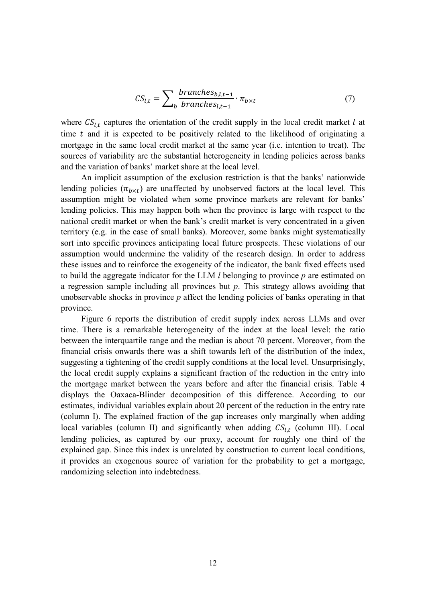$$
CS_{l,t} = \sum_{b} \frac{branches_{b,l,t-1}}{branches_{l,t-1}} \cdot \pi_{b \times t}
$$
 (7)

where  $CS_{l,t}$  captures the orientation of the credit supply in the local credit market  $l$  at time  $t$  and it is expected to be positively related to the likelihood of originating a mortgage in the same local credit market at the same year (i.e. intention to treat). The sources of variability are the substantial heterogeneity in lending policies across banks and the variation of banks' market share at the local level.

An implicit assumption of the exclusion restriction is that the banks' nationwide lending policies  $(\pi_{h \times t})$  are unaffected by unobserved factors at the local level. This assumption might be violated when some province markets are relevant for banks' lending policies. This may happen both when the province is large with respect to the national credit market or when the bank's credit market is very concentrated in a given territory (e.g. in the case of small banks). Moreover, some banks might systematically sort into specific provinces anticipating local future prospects. These violations of our assumption would undermine the validity of the research design. In order to address these issues and to reinforce the exogeneity of the indicator, the bank fixed effects used to build the aggregate indicator for the LLM *l* belonging to province *p* are estimated on a regression sample including all provinces but *p*. This strategy allows avoiding that unobservable shocks in province *p* affect the lending policies of banks operating in that province.

Figure 6 reports the distribution of credit supply index across LLMs and over time. There is a remarkable heterogeneity of the index at the local level: the ratio between the interquartile range and the median is about 70 percent. Moreover, from the financial crisis onwards there was a shift towards left of the distribution of the index, suggesting a tightening of the credit supply conditions at the local level. Unsurprisingly, the local credit supply explains a significant fraction of the reduction in the entry into the mortgage market between the years before and after the financial crisis. Table 4 displays the Oaxaca-Blinder decomposition of this difference. According to our estimates, individual variables explain about 20 percent of the reduction in the entry rate (column I). The explained fraction of the gap increases only marginally when adding local variables (column II) and significantly when adding  $CS_{l,t}$  (column III). Local lending policies, as captured by our proxy, account for roughly one third of the explained gap. Since this index is unrelated by construction to current local conditions, it provides an exogenous source of variation for the probability to get a mortgage, randomizing selection into indebtedness.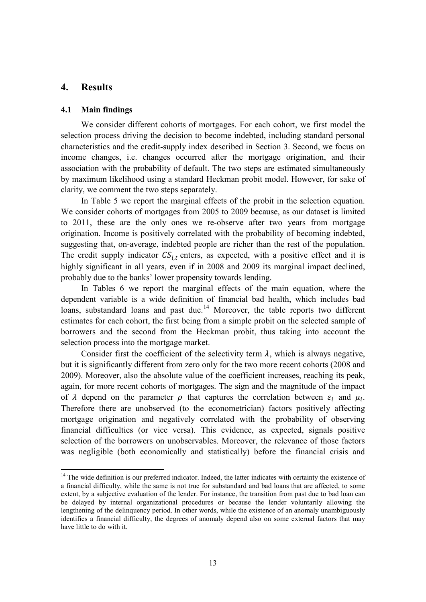## **4. Results**

 $\overline{a}$ 

#### **4.1 Main findings**

We consider different cohorts of mortgages. For each cohort, we first model the selection process driving the decision to become indebted, including standard personal characteristics and the credit-supply index described in Section 3. Second, we focus on income changes, i.e. changes occurred after the mortgage origination, and their association with the probability of default. The two steps are estimated simultaneously by maximum likelihood using a standard Heckman probit model. However, for sake of clarity, we comment the two steps separately.

In Table 5 we report the marginal effects of the probit in the selection equation. We consider cohorts of mortgages from 2005 to 2009 because, as our dataset is limited to 2011, these are the only ones we re-observe after two years from mortgage origination. Income is positively correlated with the probability of becoming indebted, suggesting that, on-average, indebted people are richer than the rest of the population. The credit supply indicator  $CS_{1,t}$  enters, as expected, with a positive effect and it is highly significant in all years, even if in 2008 and 2009 its marginal impact declined, probably due to the banks' lower propensity towards lending.

In Tables 6 we report the marginal effects of the main equation, where the dependent variable is a wide definition of financial bad health, which includes bad loans, substandard loans and past due.<sup>[14](#page-12-0)</sup> Moreover, the table reports two different estimates for each cohort, the first being from a simple probit on the selected sample of borrowers and the second from the Heckman probit, thus taking into account the selection process into the mortgage market.

Consider first the coefficient of the selectivity term  $\lambda$ , which is always negative, but it is significantly different from zero only for the two more recent cohorts (2008 and 2009). Moreover, also the absolute value of the coefficient increases, reaching its peak, again, for more recent cohorts of mortgages. The sign and the magnitude of the impact of  $\lambda$  depend on the parameter  $\rho$  that captures the correlation between  $\varepsilon_i$  and  $\mu_i$ . Therefore there are unobserved (to the econometrician) factors positively affecting mortgage origination and negatively correlated with the probability of observing financial difficulties (or vice versa). This evidence, as expected, signals positive selection of the borrowers on unobservables. Moreover, the relevance of those factors was negligible (both economically and statistically) before the financial crisis and

<span id="page-12-0"></span><sup>&</sup>lt;sup>14</sup> The wide definition is our preferred indicator. Indeed, the latter indicates with certainty the existence of a financial difficulty, while the same is not true for substandard and bad loans that are affected, to some extent, by a subjective evaluation of the lender. For instance, the transition from past due to bad loan can be delayed by internal organizational procedures or because the lender voluntarily allowing the lengthening of the delinquency period. In other words, while the existence of an anomaly unambiguously identifies a financial difficulty, the degrees of anomaly depend also on some external factors that may have little to do with it.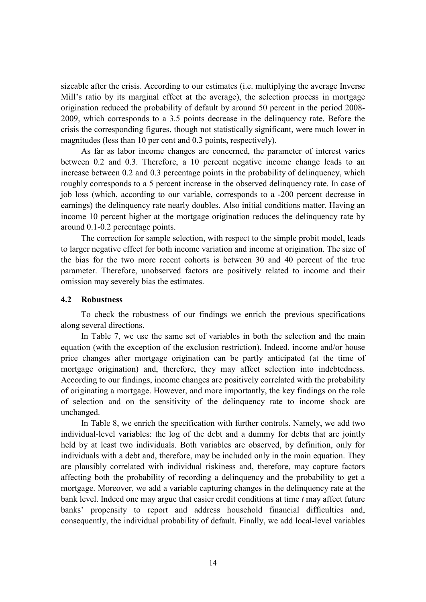sizeable after the crisis. According to our estimates (i.e. multiplying the average Inverse Mill's ratio by its marginal effect at the average), the selection process in mortgage origination reduced the probability of default by around 50 percent in the period 2008- 2009, which corresponds to a 3.5 points decrease in the delinquency rate. Before the crisis the corresponding figures, though not statistically significant, were much lower in magnitudes (less than 10 per cent and 0.3 points, respectively).

As far as labor income changes are concerned, the parameter of interest varies between 0.2 and 0.3. Therefore, a 10 percent negative income change leads to an increase between 0.2 and 0.3 percentage points in the probability of delinquency, which roughly corresponds to a 5 percent increase in the observed delinquency rate. In case of job loss (which, according to our variable, corresponds to a -200 percent decrease in earnings) the delinquency rate nearly doubles. Also initial conditions matter. Having an income 10 percent higher at the mortgage origination reduces the delinquency rate by around 0.1-0.2 percentage points.

The correction for sample selection, with respect to the simple probit model, leads to larger negative effect for both income variation and income at origination. The size of the bias for the two more recent cohorts is between 30 and 40 percent of the true parameter. Therefore, unobserved factors are positively related to income and their omission may severely bias the estimates.

### **4.2 Robustness**

To check the robustness of our findings we enrich the previous specifications along several directions.

In Table 7, we use the same set of variables in both the selection and the main equation (with the exception of the exclusion restriction). Indeed, income and/or house price changes after mortgage origination can be partly anticipated (at the time of mortgage origination) and, therefore, they may affect selection into indebtedness. According to our findings, income changes are positively correlated with the probability of originating a mortgage. However, and more importantly, the key findings on the role of selection and on the sensitivity of the delinquency rate to income shock are unchanged.

In Table 8, we enrich the specification with further controls. Namely, we add two individual-level variables: the log of the debt and a dummy for debts that are jointly held by at least two individuals. Both variables are observed, by definition, only for individuals with a debt and, therefore, may be included only in the main equation. They are plausibly correlated with individual riskiness and, therefore, may capture factors affecting both the probability of recording a delinquency and the probability to get a mortgage. Moreover, we add a variable capturing changes in the delinquency rate at the bank level. Indeed one may argue that easier credit conditions at time *t* may affect future banks' propensity to report and address household financial difficulties and, consequently, the individual probability of default. Finally, we add local-level variables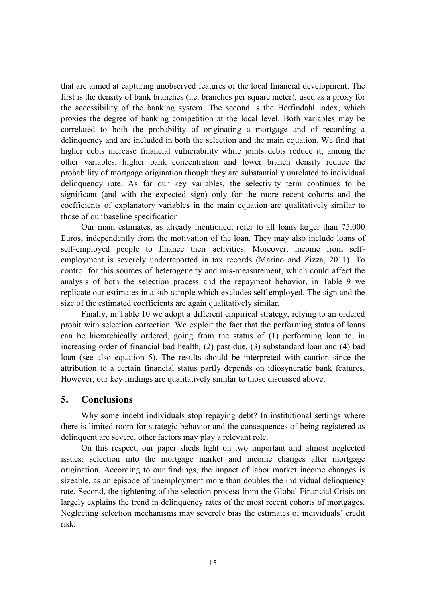that are aimed at capturing unobserved features of the local financial development. The first is the density of bank branches (i.e. branches per square meter), used as a proxy for the accessibility of the banking system. The second is the Herfindahl index, which proxies the degree of banking competition at the local level. Both variables may be correlated to both the probability of originating a mortgage and of recording a delinquency and are included in both the selection and the main equation. We find that higher debts increase financial vulnerability while joints debts reduce it; among the other variables, higher bank concentration and lower branch density reduce the probability of mortgage origination though they are substantially unrelated to individual delinquency rate. As far our key variables, the selectivity term continues to be significant (and with the expected sign) only for the more recent cohorts and the coefficients of explanatory variables in the main equation are qualitatively similar to those of our baseline specification.

Our main estimates, as already mentioned, refer to all loans larger than 75,000 Euros, independently from the motivation of the loan. They may also include loans of self-employed people to finance their activities. Moreover, income from selfemployment is severely underreported in tax records (Marino and Zizza, 2011). To control for this sources of heterogeneity and mis-measurement, which could affect the analysis of both the selection process and the repayment behavior, in Table 9 we replicate our estimates in a sub-sample which excludes self-employed. The sign and the size of the estimated coefficients are again qualitatively similar.

Finally, in Table 10 we adopt a different empirical strategy, relying to an ordered probit with selection correction. We exploit the fact that the performing status of loans can be hierarchically ordered, going from the status of (1) performing loan to, in increasing order of financial bad health, (2) past due, (3) substandard loan and (4) bad loan (see also equation 5). The results should be interpreted with caution since the attribution to a certain financial status partly depends on idiosyncratic bank features. However, our key findings are qualitatively similar to those discussed above.

## **5. Conclusions**

Why some indebt individuals stop repaying debt? In institutional settings where there is limited room for strategic behavior and the consequences of being registered as delinquent are severe, other factors may play a relevant role.

On this respect, our paper sheds light on two important and almost neglected issues: selection into the mortgage market and income changes after mortgage origination. According to our findings, the impact of labor market income changes is sizeable, as an episode of unemployment more than doubles the individual delinquency rate. Second, the tightening of the selection process from the Global Financial Crisis on largely explains the trend in delinquency rates of the most recent cohorts of mortgages. Neglecting selection mechanisms may severely bias the estimates of individuals' credit risk.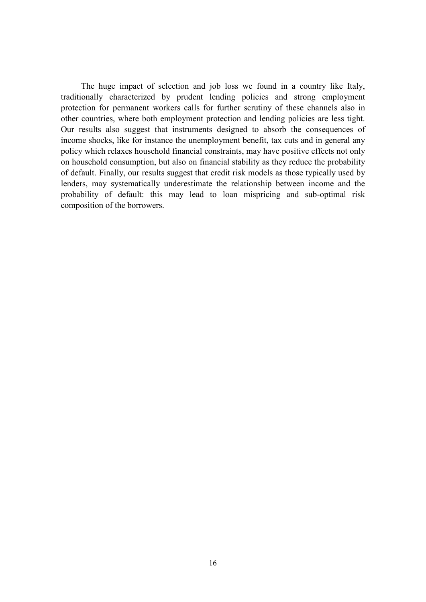The huge impact of selection and job loss we found in a country like Italy, traditionally characterized by prudent lending policies and strong employment protection for permanent workers calls for further scrutiny of these channels also in other countries, where both employment protection and lending policies are less tight. Our results also suggest that instruments designed to absorb the consequences of income shocks, like for instance the unemployment benefit, tax cuts and in general any policy which relaxes household financial constraints, may have positive effects not only on household consumption, but also on financial stability as they reduce the probability of default. Finally, our results suggest that credit risk models as those typically used by lenders, may systematically underestimate the relationship between income and the probability of default: this may lead to loan mispricing and sub-optimal risk composition of the borrowers.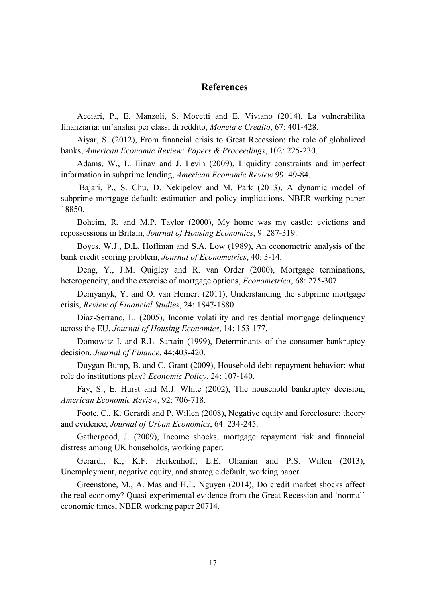## **References**

Acciari, P., E. Manzoli, S. Mocetti and E. Viviano (2014), La vulnerabilità finanziaria: un'analisi per classi di reddito, *Moneta e Credito*, 67: 401-428.

Aiyar, S. (2012), From financial crisis to Great Recession: the role of globalized banks, *American Economic Review: Papers & Proceedings*, 102: 225-230.

[Adams,](http://www.researchgate.net/researcher/13485518_William_Adams) W., L. [Einav](http://www.researchgate.net/researcher/13667882_Liran_Einav) and [J. Levin](http://www.researchgate.net/researcher/46469708_Jonathan_Levin) (2009), Liquidity constraints and imperfect information in subprime lending, *American Economic Review* 99: 49-84.

Bajari, P., S. Chu, D. Nekipelov and M. Park (2013), A dynamic model of subprime mortgage default: estimation and policy implications, NBER working paper 18850.

Boheim, R. and M.P. Taylor (2000), My home was my castle: evictions and repossessions in Britain, *Journal of Housing Economics*, 9: 287-319.

Boyes, W.J., D.L. Hoffman and S.A. Low (1989), An econometric analysis of the bank credit scoring problem, *Journal of Econometrics*, 40: 3-14.

Deng, Y., J.M. Quigley and R. van Order (2000), Mortgage terminations, heterogeneity, and the exercise of mortgage options, *Econometrica*, 68: 275-307.

Demyanyk, Y. and O. van Hemert (2011), Understanding the subprime mortgage crisis, *Review of Financial Studies*, 24: 1847-1880.

Diaz-Serrano, L. (2005), Income volatility and residential mortgage delinquency across the EU, *Journal of Housing Economics*, 14: 153-177.

Domowitz I. and R.L. Sartain (1999), Determinants of the consumer bankruptcy decision, *Journal of Finance*, 44:403-420.

Duygan-Bump, B. and C. Grant (2009), Household debt repayment behavior: what role do institutions play? *Economic Policy*, 24: 107-140.

Fay, S., E. Hurst and M.J. White (2002), The household bankruptcy decision, *American Economic Review*, 92: 706-718.

Foote, C., K. Gerardi and P. Willen (2008), Negative equity and foreclosure: theory and evidence, *Journal of Urban Economics*, 64: 234-245.

Gathergood, J. (2009), Income shocks, mortgage repayment risk and financial distress among UK households, working paper.

Gerardi, K., K.F. Herkenhoff, L.E. Ohanian and P.S. Willen (2013), Unemployment, negative equity, and strategic default, working paper.

Greenstone, M., A. Mas and H.L. Nguyen (2014), Do credit market shocks affect the real economy? Quasi-experimental evidence from the Great Recession and 'normal' economic times, NBER working paper 20714.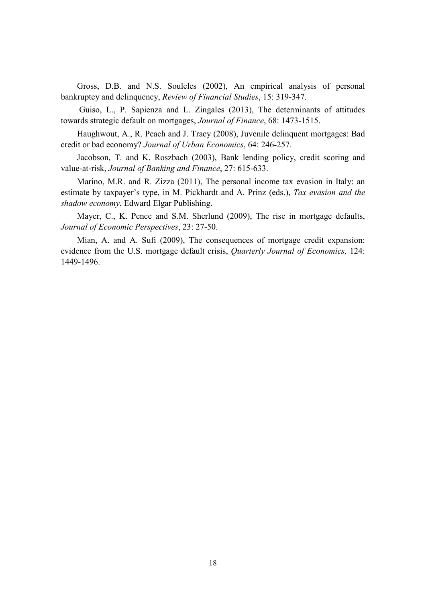Gross, D.B. and N.S. Souleles (2002), An empirical analysis of personal bankruptcy and delinquency, *Review of Financial Studies*, 15: 319-347.

Guiso, L., P. Sapienza and L. Zingales (2013), The determinants of attitudes towards strategic default on mortgages, *Journal of Finance*, 68: 1473-1515.

Haughwout, A., R. Peach and J. Tracy (2008), Juvenile delinquent mortgages: Bad credit or bad economy? *Journal of Urban Economics*, 64: 246-257.

Jacobson, T. and K. Roszbach (2003), Bank lending policy, credit scoring and value-at-risk, *Journal of Banking and Finance*, 27: 615-633.

Marino, M.R. and R. Zizza (2011), The personal income tax evasion in Italy: an estimate by taxpayer's type, in M. Pickhardt and A. Prinz (eds.), *Tax evasion and the shadow economy*, Edward Elgar Publishing.

Mayer, C., K. Pence and S.M. Sherlund (2009), The rise in mortgage defaults, *Journal of Economic Perspectives*, 23: 27-50.

Mian, A. and A. Sufi (2009), The consequences of mortgage credit expansion: evidence from the U.S. mortgage default crisis, *Quarterly Journal of Economics,* 124: 1449-1496.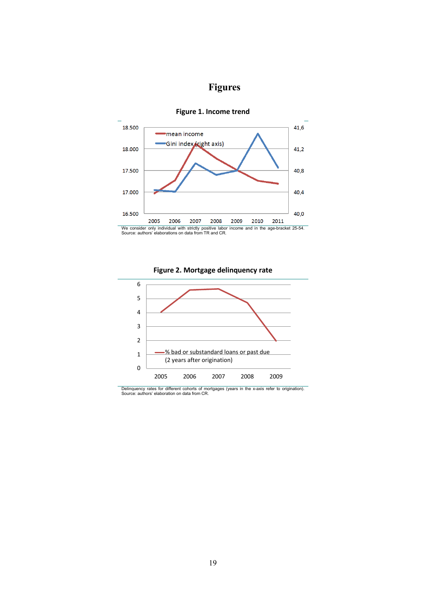# **Figures**



#### **Figure 1. Income trend**





Delinquency rates for different cohorts of mortgages (years in the x-axis refer to origination). Source: authors' elaboration on data from CR.

We consider only individual with strictly positive labor income and in the age-bracket 25-54. Source: authors' elaborations on data from TR and CR.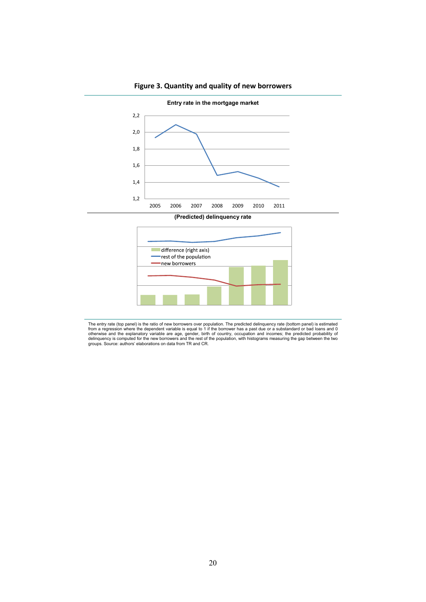

**Figure 3. Quantity and quality of new borrowers**

**(Predicted) delinquency rate**



The entry rate (top panel) is the ratio of new borrowers over population. The predicted delinquency rate (bottom panel) is estimated<br>from a regression where the dependent variable is equal to 1 if the borrower has a past d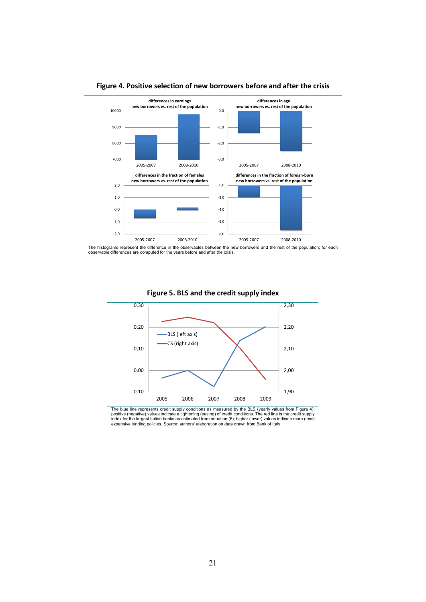

**Figure 4. Positive selection of new borrowers before and after the crisis**

The histograms represent the difference in the observables between the new borrowers and the rest of the population; for each observable differences are computed for the years before and after the crisis.



#### **Figure 5. BLS and the credit supply index**

The blue line represents credit supply conditions as measured by the BLS (yearly values from Figure 4);<br>positive (negative) values indicate a tightening (easing) of credit conditions. The red line is the credit supply<br>inde expansive lending policies. Source: authors' elaboration on data drawn from Bank of Italy.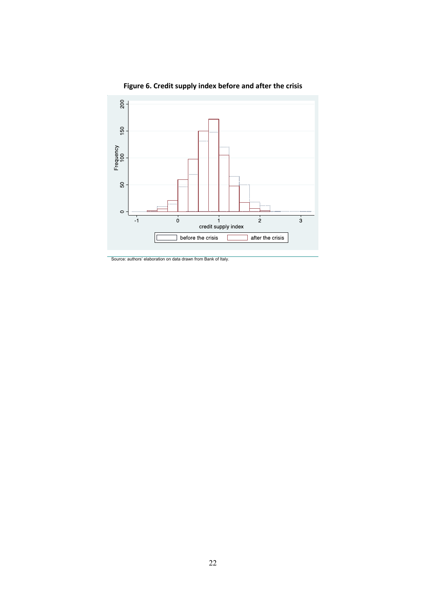

**Figure 6. Credit supply index before and after the crisis**

Source: authors' elaboration on data drawn from Bank of Italy.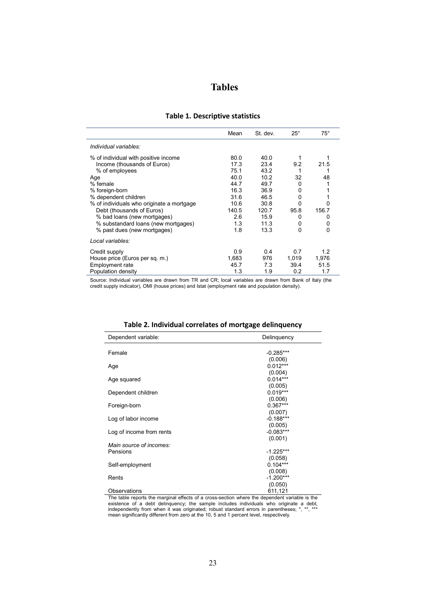|  | <b>Tables</b> |
|--|---------------|
|  |               |

|  |  |  |  | <b>Table 1. Descriptive statistics</b> |
|--|--|--|--|----------------------------------------|
|--|--|--|--|----------------------------------------|

|                                           | Mean  | St. dev. | $25^{\circ}$ | $75^{\circ}$ |
|-------------------------------------------|-------|----------|--------------|--------------|
| Individual variables:                     |       |          |              |              |
| % of individual with positive income      | 80.0  | 40.0     |              |              |
| Income (thousands of Euros)               | 17.3  | 23.4     | 9.2          | 21.5         |
| % of employees                            | 75.1  | 43.2     |              |              |
| Age                                       | 40.0  | 10.2     | 32           | 48           |
| % female                                  | 44.7  | 49.7     | 0            |              |
| % foreign-born                            | 16.3  | 36.9     | 0            |              |
| % dependent children                      | 31.6  | 46.5     | 0            |              |
| % of individuals who originate a mortgage | 10.6  | 30.8     | ŋ            |              |
| Debt (thousands of Euros)                 | 140.5 | 120.7    | 95.8         | 156.7        |
| % bad loans (new mortgages)               | 2.6   | 15.9     | 0            | 0            |
| % substandard loans (new mortgages)       | 1.3   | 11.3     | 0            | 0            |
| % past dues (new mortgages)               | 1.8   | 13.3     | 0            | 0            |
| Local variables:                          |       |          |              |              |
| Credit supply                             | 0.9   | 0.4      | 0.7          | 1.2          |
| House price (Euros per sq. m.)            | 1.683 | 976      | 1.019        | 1.976        |
| <b>Employment rate</b>                    | 45.7  | 7.3      | 39.4         | 51.5         |
| Population density                        | 1.3   | 1.9      | 0.2          | 1.7          |

Source: Individual variables are drawn from TR and CR; local variables are drawn from Bank of Italy (the credit supply indicator), OMI (house prices) and Istat (employment rate and population density).

| Dependent variable:      | Delinquency |
|--------------------------|-------------|
|                          |             |
| Female                   | $-0.285***$ |
|                          | (0.006)     |
| Age                      | $0.012***$  |
|                          | (0.004)     |
| Age squared              | $0.014***$  |
|                          | (0.005)     |
| Dependent children       | $0.019***$  |
|                          | (0.006)     |
| Foreign-born             | $0.367***$  |
|                          | (0.007)     |
| Log of labor income      | $-0.188***$ |
|                          | (0.005)     |
| Log of income from rents | $-0.083***$ |
|                          | (0.001)     |
| Main source of incomes:  |             |
| Pensions                 | $-1.225***$ |
|                          | (0.058)     |
| Self-employment          | $0.104***$  |
|                          | (0.008)     |
| Rents                    | $-1.200***$ |
|                          | (0.050)     |
| Observations             | 611,121     |

| Table 2. Individual correlates of mortgage delinquency |  |  |  |
|--------------------------------------------------------|--|--|--|
|--------------------------------------------------------|--|--|--|

The table reports the marginal effects of a cross-section where the dependent variable is the existence of a debt delinquency; the sample includes individuals who originate a debt, independently from when it was originated; robust standard errors in parentheses; \*, \*\*, \*\*\* mean significantly different from zero at the 10, 5 and 1 percent level, respectively.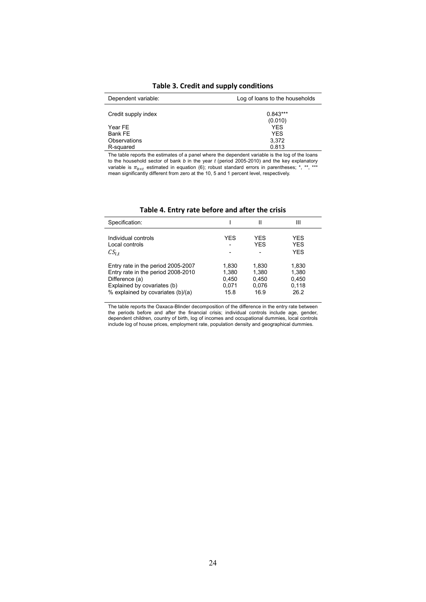| Dependent variable:     | Log of loans to the households |
|-------------------------|--------------------------------|
| Credit supply index     | $0.843***$<br>(0.010)          |
| Year FE                 | <b>YFS</b>                     |
| Bank FE<br>Observations | <b>YFS</b><br>3.372            |
| R-squared               | 0.813                          |

**Table 3. Credit and supply conditions**

The table reports the estimates of a panel where the dependent variable is the log of the loans to the household sector of bank *b* in the year *t* (period 2005-2010) and the key explanatory variable is π<sub>b×t</sub> estimated in equation (6); robust standard errors in parentheses; \*, \*\*, \*\*\*<br>mean significantly different from zero at the 10, 5 and 1 percent level, respectively.

| Specification:                                                                                                                                                 |                                          | Ш                                        | Ш                                        |
|----------------------------------------------------------------------------------------------------------------------------------------------------------------|------------------------------------------|------------------------------------------|------------------------------------------|
| Individual controls<br>Local controls<br>$CS_{Lt}$                                                                                                             | YES                                      | YES<br>YES                               | <b>YES</b><br><b>YES</b><br><b>YES</b>   |
| Entry rate in the period 2005-2007<br>Entry rate in the period 2008-2010<br>Difference (a)<br>Explained by covariates (b)<br>% explained by covariates (b)/(a) | 1.830<br>1.380<br>0.450<br>0.071<br>15.8 | 1.830<br>1.380<br>0.450<br>0.076<br>16.9 | 1.830<br>1.380<br>0.450<br>0.118<br>26.2 |

**Table 4. Entry rate before and after the crisis**

The table reports the Oaxaca-Blinder decomposition of the difference in the entry rate between the periods before and after the financial crisis; individual controls include age, gender, dependent children, country of birth, log of incomes and occupational dummies, local controls include log of house prices, employment rate, population density and geographical dummies.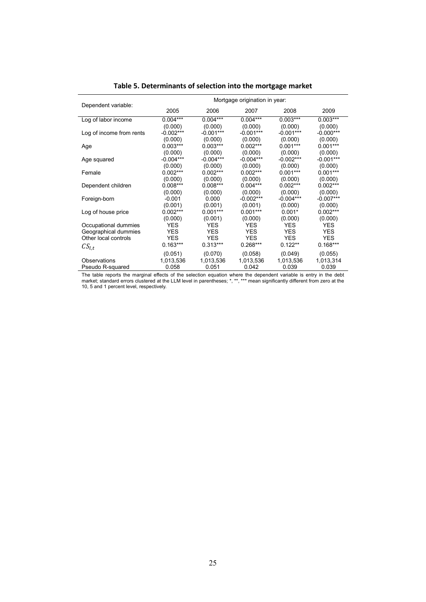|                          | Mortgage origination in year: |             |             |             |             |  |  |  |
|--------------------------|-------------------------------|-------------|-------------|-------------|-------------|--|--|--|
| Dependent variable:      | 2005                          | 2006        | 2007        | 2008        | 2009        |  |  |  |
| Log of labor income      | $0.004***$                    | $0.004***$  | $0.004***$  | $0.003***$  | $0.003***$  |  |  |  |
|                          | (0.000)                       | (0.000)     | (0.000)     | (0.000)     | (0.000)     |  |  |  |
| Log of income from rents | $-0.002***$                   | $-0.001***$ | $-0.001***$ | $-0.001***$ | $-0.000***$ |  |  |  |
|                          | (0.000)                       | (0.000)     | (0.000)     | (0.000)     | (0.000)     |  |  |  |
| Age                      | $0.003***$                    | $0.003***$  | $0.002***$  | $0.001***$  | $0.001***$  |  |  |  |
|                          | (0.000)                       | (0.000)     | (0.000)     | (0.000)     | (0.000)     |  |  |  |
| Age squared              | $-0.004***$                   | $-0.004***$ | $-0.004***$ | $-0.002***$ | $-0.001***$ |  |  |  |
|                          | (0.000)                       | (0.000)     | (0.000)     | (0.000)     | (0.000)     |  |  |  |
| Female                   | $0.002***$                    | $0.002***$  | $0.002***$  | $0.001***$  | $0.001***$  |  |  |  |
|                          | (0.000)                       | (0.000)     | (0.000)     | (0.000)     | (0.000)     |  |  |  |
| Dependent children       | $0.008***$                    | $0.008***$  | $0.004***$  | $0.002***$  | $0.002***$  |  |  |  |
|                          | (0.000)                       | (0.000)     | (0.000)     | (0.000)     | (0.000)     |  |  |  |
| Foreign-born             | $-0.001$                      | 0.000       | $-0.002***$ | $-0.004***$ | $-0.007***$ |  |  |  |
|                          | (0.001)                       | (0.001)     | (0.001)     | (0.000)     | (0.000)     |  |  |  |
| Log of house price       | $0.002***$                    | $0.001***$  | $0.001***$  | $0.001*$    | $0.002***$  |  |  |  |
|                          | (0.000)                       | (0.001)     | (0.000)     | (0.000)     | (0.000)     |  |  |  |
| Occupational dummies     | <b>YES</b>                    | <b>YES</b>  | <b>YES</b>  | <b>YES</b>  | <b>YES</b>  |  |  |  |
| Geographical dummies     | <b>YES</b>                    | <b>YES</b>  | <b>YES</b>  | <b>YES</b>  | <b>YES</b>  |  |  |  |
| Other local controls     | <b>YES</b>                    | <b>YES</b>  | <b>YES</b>  | <b>YES</b>  | <b>YES</b>  |  |  |  |
| $CS_{l,t}$               | $0.163***$                    | $0.313***$  | $0.268***$  | $0.122**$   | $0.168***$  |  |  |  |
|                          | (0.051)                       | (0.070)     | (0.058)     | (0.049)     | (0.055)     |  |  |  |
| Observations             | 1,013,536                     | 1,013,536   | 1,013,536   | 1,013,536   | 1,013,314   |  |  |  |
| Pseudo R-squared         | 0.058                         | 0.051       | 0.042       | 0.039       | 0.039       |  |  |  |

## **Table 5. Determinants of selection into the mortgage market**

The table reports the marginal effects of the selection equation where the dependent variable is entry in the debt market; standard errors clustered at the LLM level in parentheses; \*, \*\*, \*\*\* mean significantly different from zero at the 10, 5 and 1 percent level, respectively.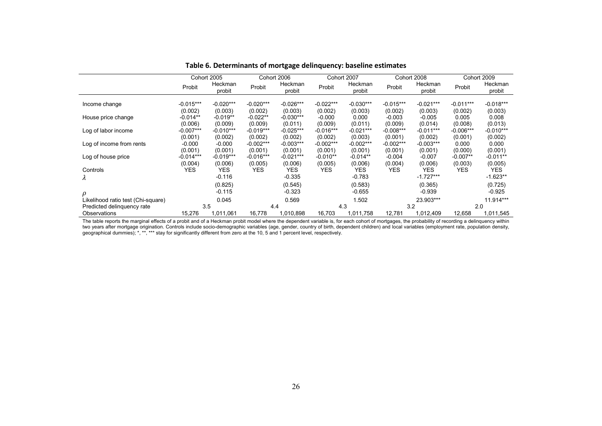|                                         |                        | Cohort 2005            |                        | Cohort 2006            |                        | Cohort 2007            |                        | Cohort 2008               |                        | Cohort 2009              |
|-----------------------------------------|------------------------|------------------------|------------------------|------------------------|------------------------|------------------------|------------------------|---------------------------|------------------------|--------------------------|
|                                         | Probit                 | Heckman<br>probit      | Probit                 | Heckman<br>probit      | Probit                 | Heckman<br>probit      | Probit                 | Heckman<br>probit         | Probit                 | Heckman<br>probit        |
| Income change                           | $-0.015***$<br>(0.002) | $-0.020***$<br>(0.003) | $-0.020***$<br>(0.002) | $-0.026***$<br>(0.003) | $-0.022***$<br>(0.002) | $-0.030***$<br>(0.003) | $-0.015***$<br>(0.002) | $-0.021***$<br>(0.003)    | $-0.011***$<br>(0.002) | $-0.018***$<br>(0.003)   |
| House price change                      | $-0.014**$<br>(0.006)  | $-0.019**$<br>(0.009)  | $-0.022**$<br>(0.009)  | $-0.030***$<br>(0.011) | $-0.000$<br>(0.009)    | 0.000<br>(0.011)       | $-0.003$<br>(0.009)    | $-0.005$<br>(0.014)       | 0.005<br>(0.008)       | 0.008<br>(0.013)         |
| Log of labor income                     | $-0.007***$<br>(0.001) | $-0.010***$<br>(0.002) | $-0.019***$<br>(0.002) | $-0.025***$<br>(0.002) | $-0.016***$<br>(0.002) | $-0.021***$<br>(0.003) | $-0.008***$<br>(0.001) | $-0.011***$<br>(0.002)    | $-0.006***$<br>(0.001) | $-0.010***$<br>(0.002)   |
| Log of income from rents                | $-0.000$<br>(0.001)    | $-0.000$<br>(0.001)    | $-0.002***$<br>(0.001) | $-0.003***$<br>(0.001) | $-0.002***$<br>(0.001) | $-0.002***$<br>(0.001) | $-0.002***$<br>(0.001) | $-0.003***$<br>(0.001)    | 0.000<br>(0.000)       | 0.000<br>(0.001)         |
| Log of house price                      | $-0.014***$<br>(0.004) | $-0.019***$<br>(0.006) | $-0.016***$<br>(0.005) | $-0.021***$<br>(0.006) | $-0.010**$<br>(0.005)  | $-0.014**$<br>(0.006)  | $-0.004$<br>(0.004)    | $-0.007$<br>(0.006)       | $-0.007**$<br>(0.003)  | $-0.011**$<br>(0.005)    |
| Controls<br>$\lambda$                   | YES                    | <b>YES</b><br>$-0.116$ | YES.                   | <b>YES</b><br>$-0.335$ | YES.                   | <b>YES</b><br>$-0.783$ | YES.                   | <b>YES</b><br>$-1.727***$ | <b>YES</b>             | <b>YES</b><br>$-1.623**$ |
|                                         |                        | (0.825)                |                        | (0.545)                |                        | (0.583)                |                        | (0.365)                   |                        | (0.725)                  |
| ρ<br>Likelihood ratio test (Chi-square) |                        | $-0.115$<br>0.045      |                        | $-0.323$<br>0.569      |                        | $-0.655$<br>1.502      |                        | $-0.939$<br>23.903***     |                        | $-0.925$<br>11.914***    |
| Predicted delinquency rate              |                        | 3.5                    | 4.4                    |                        |                        | 4.3                    |                        | 3.2                       |                        | 2.0                      |
| Observations                            | 15,276                 | 1,011,061              | 16,778                 | 1,010,898              | 16,703                 | 1,011,758              | 12,781                 | 1,012,409                 | 12,658                 | 1,011,545                |

**Table 6. Determinants of mortgage delinquency: baseline estimates**

The table reports the marginal effects of a probit and of a Heckman probit model where the dependent variable is, for each cohort of mortgages, the probability of recording a delinquency within two years after mortgage origination. Controls include socio-demographic variables (age, gender, country of birth, dependent children) and local variables (employment rate, population density, geographical dummies); \*, \*\*, \*\*\* stay for significantly different from zero at the 10, 5 and 1 percent level, respectively.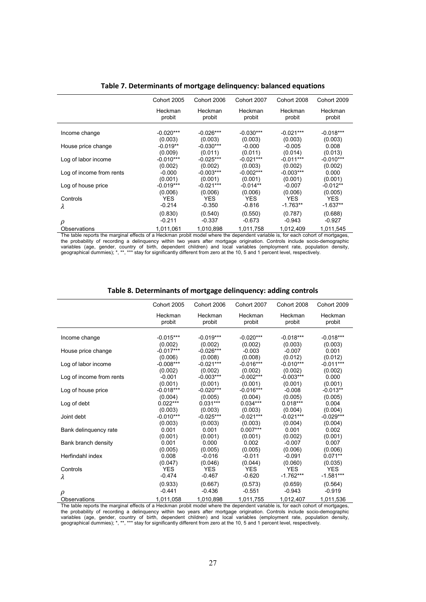|                          | Cohort 2005 | Cohort 2006 | Cohort 2007 | Cohort 2008 | Cohort 2009 |
|--------------------------|-------------|-------------|-------------|-------------|-------------|
|                          | Heckman     | Heckman     | Heckman     | Heckman     | Heckman     |
|                          | probit      | probit      | probit      | probit      | probit      |
| Income change            | $-0.020***$ | $-0.026***$ | $-0.030***$ | $-0.021***$ | $-0.018***$ |
|                          | (0.003)     | (0.003)     | (0.003)     | (0.003)     | (0.003)     |
| House price change       | $-0.019**$  | $-0.030***$ | $-0.000$    | $-0.005$    | 0.008       |
|                          | (0.009)     | (0.011)     | (0.011)     | (0.014)     | (0.013)     |
| Log of labor income      | $-0.010***$ | $-0.025***$ | -0.021***   | $-0.011***$ | $-0.010***$ |
| Log of income from rents | (0.002)     | (0.002)     | (0.003)     | (0.002)     | (0.002)     |
|                          | $-0.000$    | $-0.003***$ | $-0.002***$ | $-0.003***$ | 0.000       |
| Log of house price       | (0.001)     | (0.001)     | (0.001)     | (0.001)     | (0.001)     |
|                          | $-0.019***$ | $-0.021***$ | $-0.014**$  | $-0.007$    | $-0.012**$  |
| Controls                 | (0.006)     | (0.006)     | (0.006)     | (0.006)     | (0.005)     |
|                          | YES.        | <b>YES</b>  | YES.        | YES         | <b>YES</b>  |
| λ                        | $-0.214$    | $-0.350$    | $-0.816$    | $-1.763**$  | $-1.637**$  |
| ρ                        | (0.830)     | (0.540)     | (0.550)     | (0.787)     | (0.688)     |
|                          | $-0.211$    | $-0.337$    | $-0.673$    | $-0.943$    | $-0.927$    |
| Observations             | 1,011,061   | 1,010,898   | 1,011,758   | 1,012,409   | 1,011,545   |

**Table 7. Determinants of mortgage delinquency: balanced equations**

The table reports the marginal effects of a Heckman probit model where the dependent variable is, for each cohort of mortgages, the probability of recording a delinquency within two years after mortgage origination. Controls include socio-demographic variables (age, gender, country of birth, dependent children) and local variables (employment rate, population density,<br>geographical dummies); \*, \*\*, \*\*\* stay for significantly different from zero at the 10, 5 and 1 percen

#### **Table 8. Determinants of mortgage delinquency: adding controls**

|                          | Cohort 2005           | Cohort 2006<br>Cohort 2007 |                       | Cohort 2008           | Cohort 2009           |
|--------------------------|-----------------------|----------------------------|-----------------------|-----------------------|-----------------------|
|                          | Heckman<br>probit     | Heckman<br>probit          | Heckman<br>probit     | Heckman<br>probit     | Heckman<br>probit     |
| Income change            | $-0.015***$           | $-0.019***$                | $-0.020***$           | $-0.018***$           | $-0.018***$           |
|                          | (0.002)               | (0.002)                    | (0.002)               | (0.003)               | (0.003)               |
| House price change       | $-0.017***$           | $-0.026***$                | $-0.003$              | $-0.007$              | 0.001                 |
|                          | (0.006)               | (0.008)                    | (0.008)               | (0.012)               | (0.012)               |
| Log of labor income      | $-0.008***$           | $-0.021***$                | $-0.016***$           | $-0.010***$           | $-0.011***$           |
|                          | (0.002)               | (0.002)                    | (0.002)               | (0.002)               | (0.002)               |
| Log of income from rents | $-0.001$              | $-0.003***$                | $-0.002***$           | $-0.003***$           | 0.000                 |
|                          | (0.001)               | (0.001)                    | (0.001)               | (0.001)               | (0.001)               |
| Log of house price       | $-0.018***$           | $-0.020***$                | $-0.016***$           | $-0.008$              | $-0.013**$            |
|                          | (0.004)               | (0.005)                    | (0.004)               | (0.005)               | (0.005)               |
| Log of debt              | $0.022***$            | $0.031***$                 | $0.034***$            | $0.018***$            | 0.004                 |
|                          | (0.003)               | (0.003)                    | (0.003)               | (0.004)               | (0.004)               |
| Joint debt               | $-0.010***$           | $-0.025***$                | $-0.021***$           | $-0.021***$           | $-0.029***$           |
|                          | (0.003)               | (0.003)                    | (0.003)               | (0.004)               | (0.004)               |
| Bank delinguency rate    | 0.001                 | 0.001                      | $0.007***$            | 0.001                 | 0.002                 |
|                          | (0.001)               | (0.001)                    | (0.001)               | (0.002)               | (0.001)               |
| Bank branch density      | 0.001                 | 0.000                      | 0.002                 | $-0.007$              | 0.007                 |
|                          | (0.005)               | (0.005)                    | (0.005)               | (0.006)               | (0.006)               |
| Herfindahl index         | 0.008                 | $-0.016$                   | $-0.011$              | $-0.091$              | $0.071**$             |
|                          | (0.047)<br><b>YES</b> | (0.046)<br><b>YES</b>      | (0.044)<br><b>YES</b> | (0.060)<br><b>YES</b> | (0.035)<br><b>YES</b> |
| Controls                 | $-0.474$              | $-0.467$                   | $-0.620$              | $-1.762***$           | $-1.581***$           |
| λ                        |                       |                            |                       |                       |                       |
|                          | (0.933)               | (0.667)                    | (0.573)               | (0.659)               | (0.564)               |
| ρ                        | $-0.441$              | $-0.436$                   | $-0.551$              | $-0.943$              | $-0.919$              |
| Observations             | 1,011,058             | 1,010,898                  | 1,011,755             | 1,012,407             | 1,011,536             |

The table reports the marginal effects of a Heckman probit model where the dependent variable is, for each cohort of mortgages, the probability of recording a delinquency within two years after mortgage origination. Controls include socio-demographic variables (age, gender, country of birth, dependent children) and local variables (employment rate, population density,<br>geographical dummies); \*, \*\*, \*\*\* stay for significantly different from zero at the 10, 5 and 1 percen